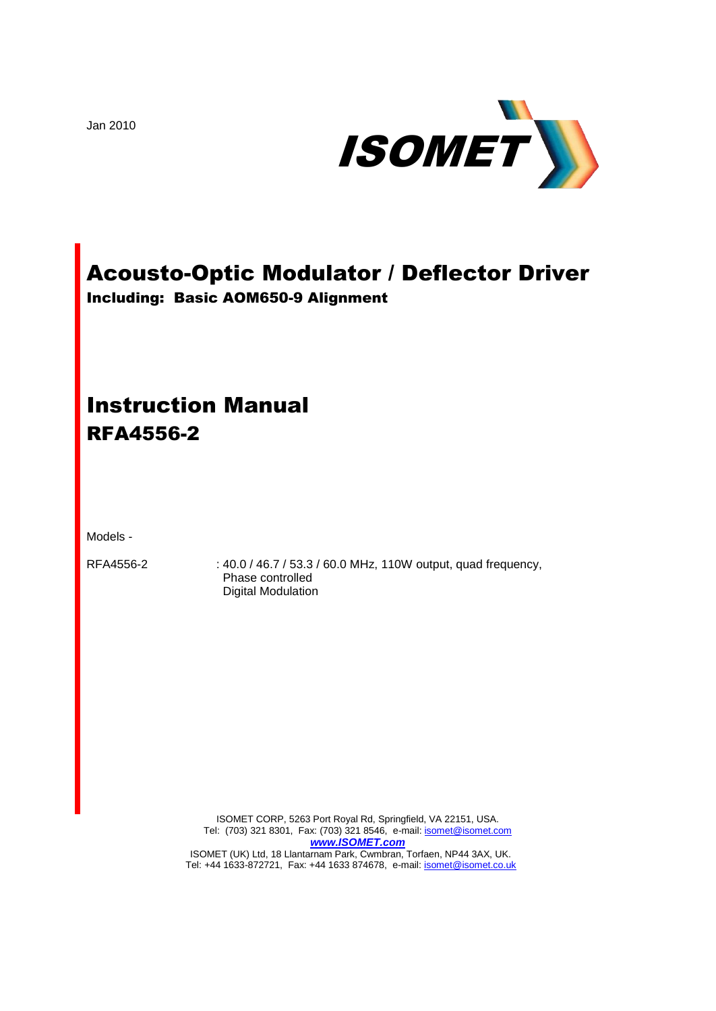Jan 2010



# Acousto-Optic Modulator / Deflector Driver

Including: Basic AOM650-9 Alignment

# Instruction Manual RFA4556-2

Models -

RFA4556-2 : 40.0 / 46.7 / 53.3 / 60.0 MHz, 110W output, quad frequency, Phase controlled Digital Modulation

> ISOMET CORP, 5263 Port Royal Rd, Springfield, VA 22151, USA. Tel: (703) 321 8301, Fax: (703) 321 8546, e-mail[: isomet@isomet.com](mailto:isomet@isomet.com) *[www.ISOMET.com](http://www.isomet.com/)* ISOMET (UK) Ltd, 18 Llantarnam Park, Cwmbran, Torfaen, NP44 3AX, UK. Tel: +44 1633-872721, Fax: +44 1633 874678, e-mail: *isomet@isomet.co.uk*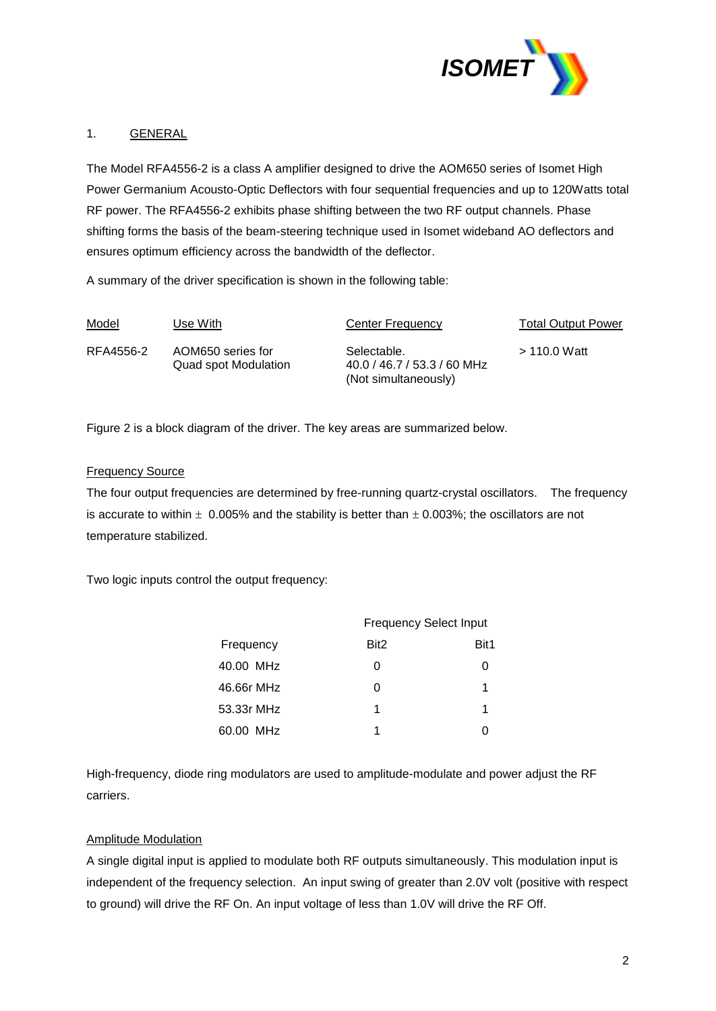

# 1. GENERAL

The Model RFA4556-2 is a class A amplifier designed to drive the AOM650 series of Isomet High Power Germanium Acousto-Optic Deflectors with four sequential frequencies and up to 120Watts total RF power. The RFA4556-2 exhibits phase shifting between the two RF output channels. Phase shifting forms the basis of the beam-steering technique used in Isomet wideband AO deflectors and ensures optimum efficiency across the bandwidth of the deflector.

A summary of the driver specification is shown in the following table:

| Model     | Use With                                  | Center Frequency                                                   | <b>Total Output Power</b> |
|-----------|-------------------------------------------|--------------------------------------------------------------------|---------------------------|
| RFA4556-2 | AOM650 series for<br>Quad spot Modulation | Selectable.<br>40.0 / 46.7 / 53.3 / 60 MHz<br>(Not simultaneously) | $>$ 110.0 Watt            |

Figure 2 is a block diagram of the driver. The key areas are summarized below.

#### Frequency Source

The four output frequencies are determined by free-running quartz-crystal oscillators. The frequency is accurate to within  $\pm$  0.005% and the stability is better than  $\pm$  0.003%; the oscillators are not temperature stabilized.

Two logic inputs control the output frequency:

|            | <b>Frequency Select Input</b> |      |  |
|------------|-------------------------------|------|--|
| Frequency  | Bit <sub>2</sub>              | Bit1 |  |
| 40.00 MHz  | 0                             |      |  |
| 46.66r MHz | 0                             | 1    |  |
| 53.33r MHz | 1                             | 1    |  |
| 60.00 MHz  | 1                             |      |  |

High-frequency, diode ring modulators are used to amplitude-modulate and power adjust the RF carriers.

### Amplitude Modulation

A single digital input is applied to modulate both RF outputs simultaneously. This modulation input is independent of the frequency selection. An input swing of greater than 2.0V volt (positive with respect to ground) will drive the RF On. An input voltage of less than 1.0V will drive the RF Off.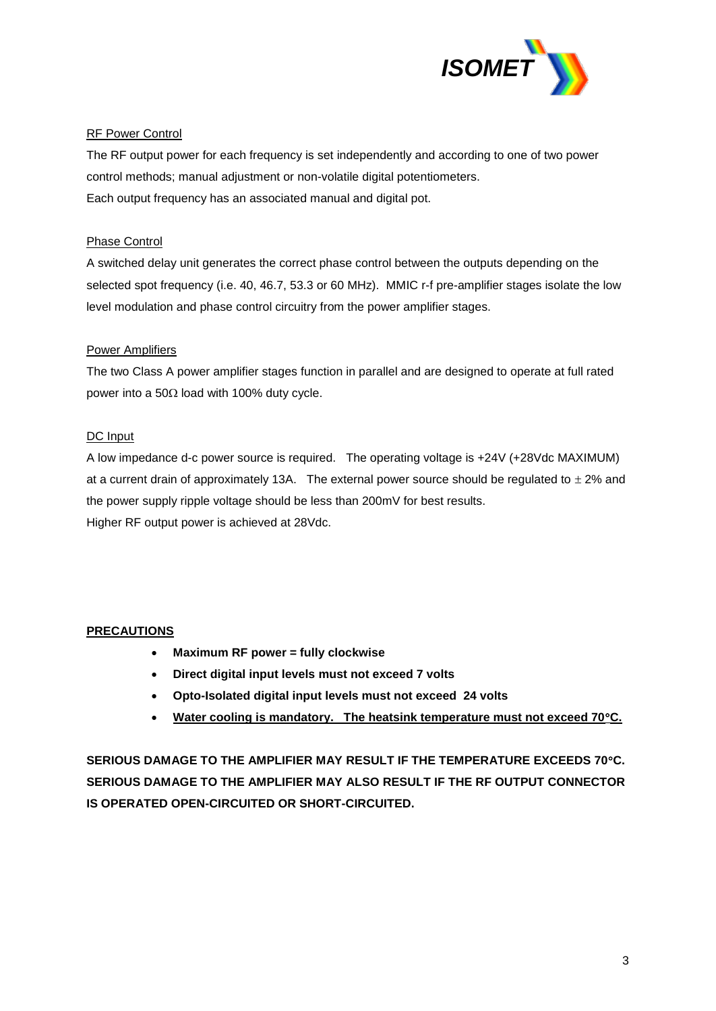

# RF Power Control

The RF output power for each frequency is set independently and according to one of two power control methods; manual adjustment or non-volatile digital potentiometers. Each output frequency has an associated manual and digital pot.

# Phase Control

A switched delay unit generates the correct phase control between the outputs depending on the selected spot frequency (i.e. 40, 46.7, 53.3 or 60 MHz). MMIC r-f pre-amplifier stages isolate the low level modulation and phase control circuitry from the power amplifier stages.

# Power Amplifiers

The two Class A power amplifier stages function in parallel and are designed to operate at full rated power into a 50 $\Omega$  load with 100% duty cycle.

# DC Input

A low impedance d-c power source is required. The operating voltage is +24V (+28Vdc MAXIMUM) at a current drain of approximately 13A. The external power source should be regulated to  $\pm$  2% and the power supply ripple voltage should be less than 200mV for best results. Higher RF output power is achieved at 28Vdc.

### **PRECAUTIONS**

- **Maximum RF power = fully clockwise**
- **Direct digital input levels must not exceed 7 volts**
- **Opto-Isolated digital input levels must not exceed 24 volts**
- **Water cooling is mandatory. The heatsink temperature must not exceed 70C.**

**SERIOUS DAMAGE TO THE AMPLIFIER MAY RESULT IF THE TEMPERATURE EXCEEDS 70C. SERIOUS DAMAGE TO THE AMPLIFIER MAY ALSO RESULT IF THE RF OUTPUT CONNECTOR IS OPERATED OPEN-CIRCUITED OR SHORT-CIRCUITED.**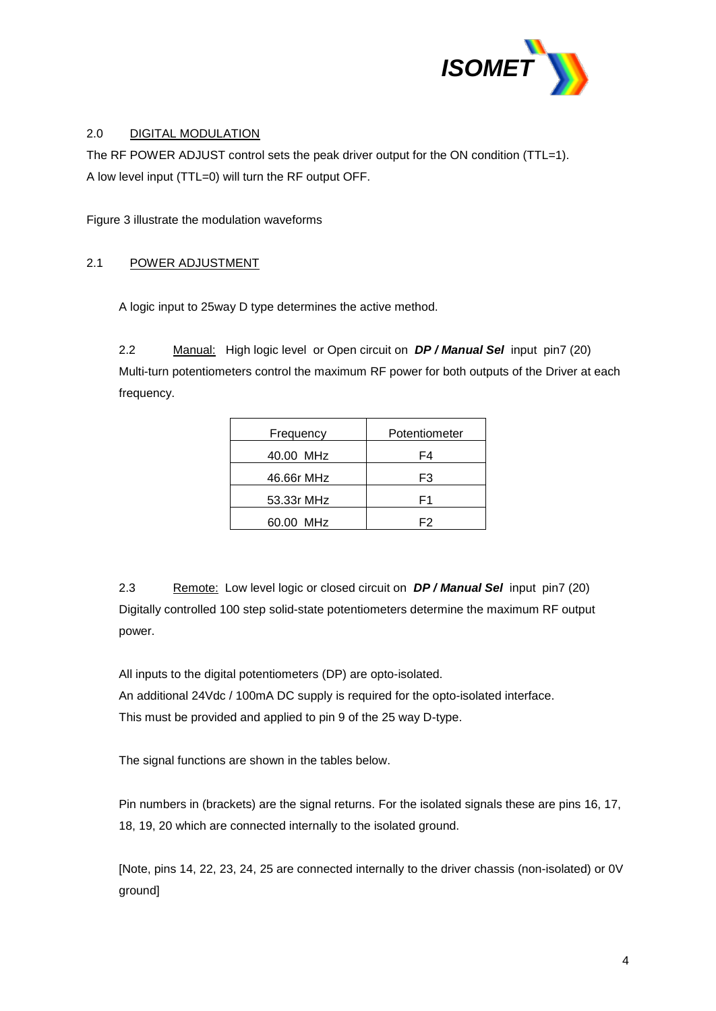

# 2.0 DIGITAL MODULATION

The RF POWER ADJUST control sets the peak driver output for the ON condition (TTL=1). A low level input (TTL=0) will turn the RF output OFF.

Figure 3 illustrate the modulation waveforms

# 2.1 POWER ADJUSTMENT

A logic input to 25way D type determines the active method.

2.2 Manual: High logic level or Open circuit on *DP / Manual Sel* input pin7 (20) Multi-turn potentiometers control the maximum RF power for both outputs of the Driver at each frequency.

| Frequency  | Potentiometer |
|------------|---------------|
| 40.00 MHz  | F4            |
| 46.66r MHz | F3            |
| 53.33r MHz | F1            |
| 60.00 MHz  | F2            |

2.3 Remote: Low level logic or closed circuit on *DP / Manual Sel* input pin7 (20) Digitally controlled 100 step solid-state potentiometers determine the maximum RF output power.

All inputs to the digital potentiometers (DP) are opto-isolated. An additional 24Vdc / 100mA DC supply is required for the opto-isolated interface. This must be provided and applied to pin 9 of the 25 way D-type.

The signal functions are shown in the tables below.

Pin numbers in (brackets) are the signal returns. For the isolated signals these are pins 16, 17, 18, 19, 20 which are connected internally to the isolated ground.

[Note, pins 14, 22, 23, 24, 25 are connected internally to the driver chassis (non-isolated) or 0V ground]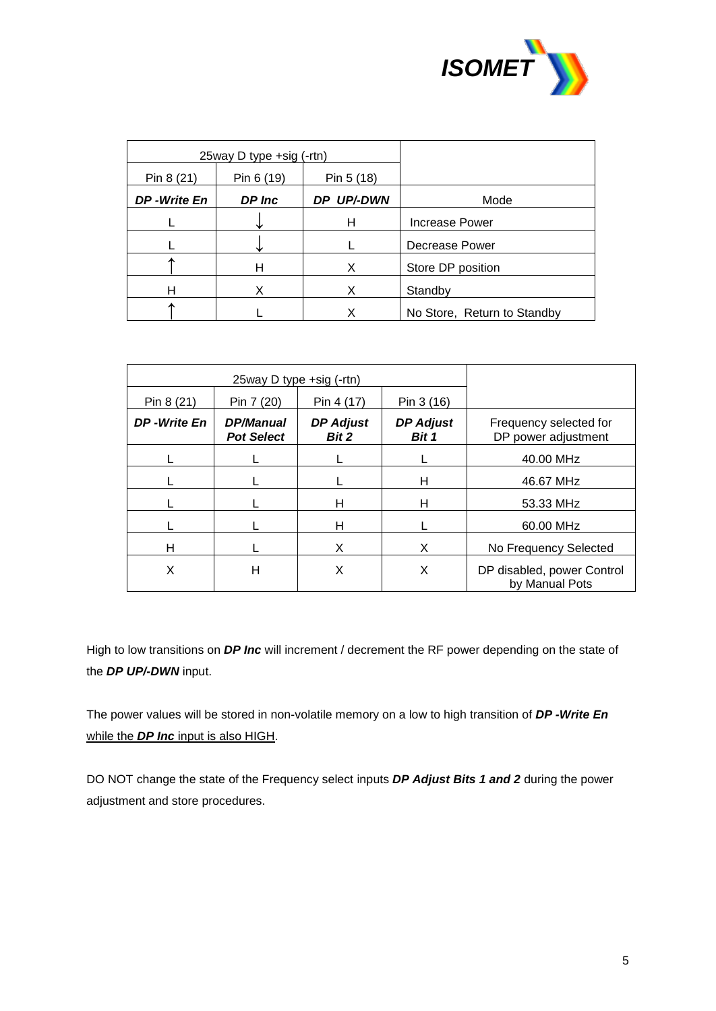

|             | 25way D type +sig (-rtn) |            |                             |
|-------------|--------------------------|------------|-----------------------------|
| Pin 8 (21)  | Pin 6 (19)               | Pin 5 (18) |                             |
| DP-Write En | DP Inc                   | DP UP/-DWN | Mode                        |
|             |                          | н          | Increase Power              |
|             |                          |            | Decrease Power              |
|             | н                        | X          | Store DP position           |
| н           | X                        | X          | Standby                     |
|             |                          | х          | No Store, Return to Standby |

|             | 25way D type +sig (-rtn)              |                           |                           |                                               |
|-------------|---------------------------------------|---------------------------|---------------------------|-----------------------------------------------|
| Pin 8 (21)  | Pin 7 (20)                            | Pin 4 (17)                | Pin 3 (16)                |                                               |
| DP-Write En | <b>DP/Manual</b><br><b>Pot Select</b> | <b>DP Adjust</b><br>Bit 2 | <b>DP Adjust</b><br>Bit 1 | Frequency selected for<br>DP power adjustment |
|             |                                       |                           |                           | 40.00 MHz                                     |
|             |                                       |                           | н                         | 46.67 MHz                                     |
|             |                                       | н                         | н                         | 53.33 MHz                                     |
|             |                                       | н                         |                           | 60.00 MHz                                     |
| н           |                                       | X                         | X                         | No Frequency Selected                         |
| X           | н                                     | X                         | X                         | DP disabled, power Control<br>by Manual Pots  |

High to low transitions on *DP Inc* will increment / decrement the RF power depending on the state of the *DP UP/-DWN* input.

The power values will be stored in non-volatile memory on a low to high transition of *DP -Write En* while the *DP Inc* input is also HIGH.

DO NOT change the state of the Frequency select inputs *DP Adjust Bits 1 and 2* during the power adjustment and store procedures.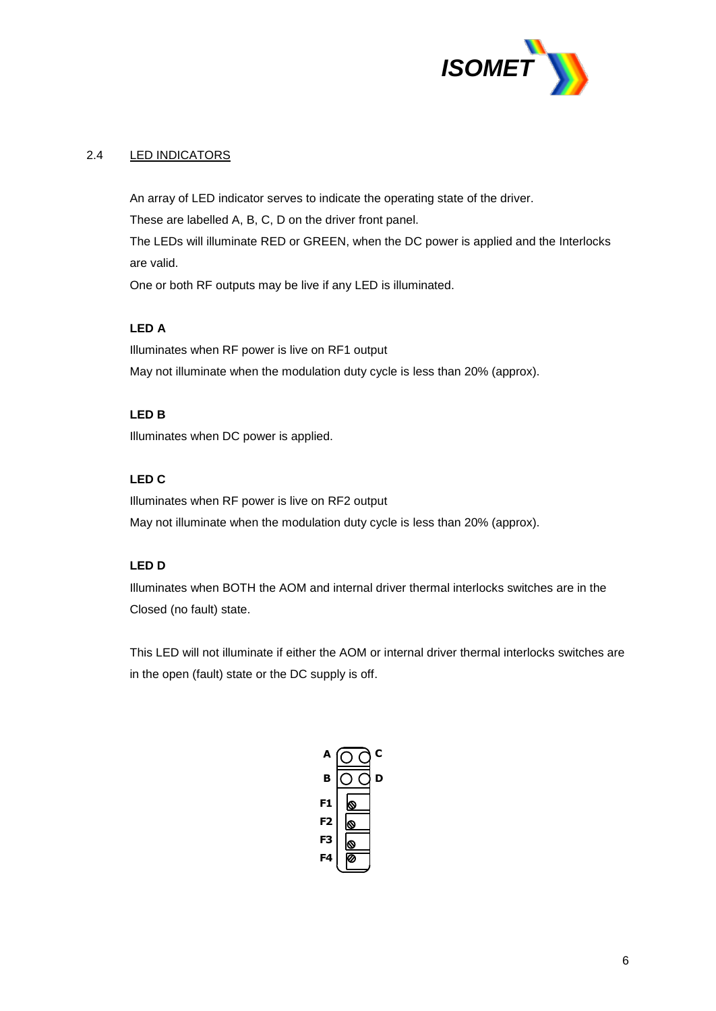

# 2.4 LED INDICATORS

An array of LED indicator serves to indicate the operating state of the driver. These are labelled A, B, C, D on the driver front panel.

The LEDs will illuminate RED or GREEN, when the DC power is applied and the Interlocks are valid.

One or both RF outputs may be live if any LED is illuminated.

## **LED A**

Illuminates when RF power is live on RF1 output May not illuminate when the modulation duty cycle is less than 20% (approx).

# **LED B**

Illuminates when DC power is applied.

#### **LED C**

Illuminates when RF power is live on RF2 output May not illuminate when the modulation duty cycle is less than 20% (approx).

## **LED D**

Illuminates when BOTH the AOM and internal driver thermal interlocks switches are in the Closed (no fault) state.

This LED will not illuminate if either the AOM or internal driver thermal interlocks switches are in the open (fault) state or the DC supply is off.

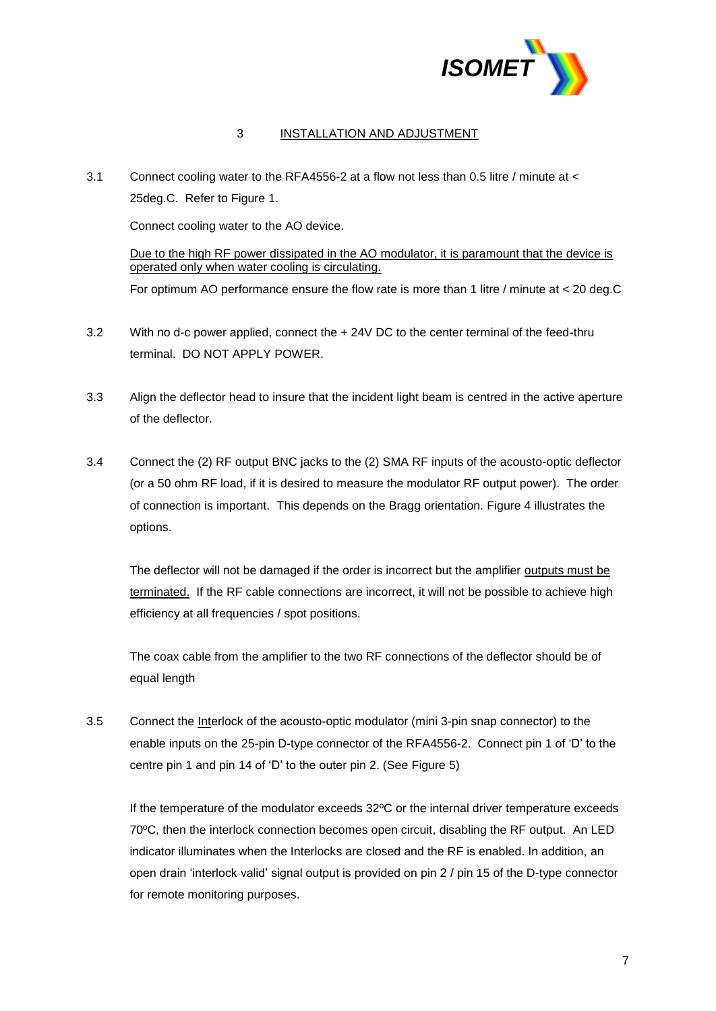

## 3 INSTALLATION AND ADJUSTMENT

3.1 Connect cooling water to the RFA4556-2 at a flow not less than 0.5 litre / minute at < 25deg.C. Refer to Figure 1.

Connect cooling water to the AO device.

Due to the high RF power dissipated in the AO modulator, it is paramount that the device is operated only when water cooling is circulating. For optimum AO performance ensure the flow rate is more than 1 litre / minute at < 20 deg.C

- 3.2 With no d-c power applied, connect the + 24V DC to the center terminal of the feed-thru terminal. DO NOT APPLY POWER.
- 3.3 Align the deflector head to insure that the incident light beam is centred in the active aperture of the deflector.
- 3.4 Connect the (2) RF output BNC jacks to the (2) SMA RF inputs of the acousto-optic deflector (or a 50 ohm RF load, if it is desired to measure the modulator RF output power). The order of connection is important. This depends on the Bragg orientation. Figure 4 illustrates the options.

The deflector will not be damaged if the order is incorrect but the amplifier outputs must be terminated. If the RF cable connections are incorrect, it will not be possible to achieve high efficiency at all frequencies / spot positions.

The coax cable from the amplifier to the two RF connections of the deflector should be of equal length

3.5 Connect the Interlock of the acousto-optic modulator (mini 3-pin snap connector) to the enable inputs on the 25-pin D-type connector of the RFA4556-2. Connect pin 1 of 'D' to the centre pin 1 and pin 14 of 'D' to the outer pin 2. (See Figure 5)

If the temperature of the modulator exceeds 32ºC or the internal driver temperature exceeds 70ºC, then the interlock connection becomes open circuit, disabling the RF output. An LED indicator illuminates when the Interlocks are closed and the RF is enabled. In addition, an open drain 'interlock valid' signal output is provided on pin 2 / pin 15 of the D-type connector for remote monitoring purposes.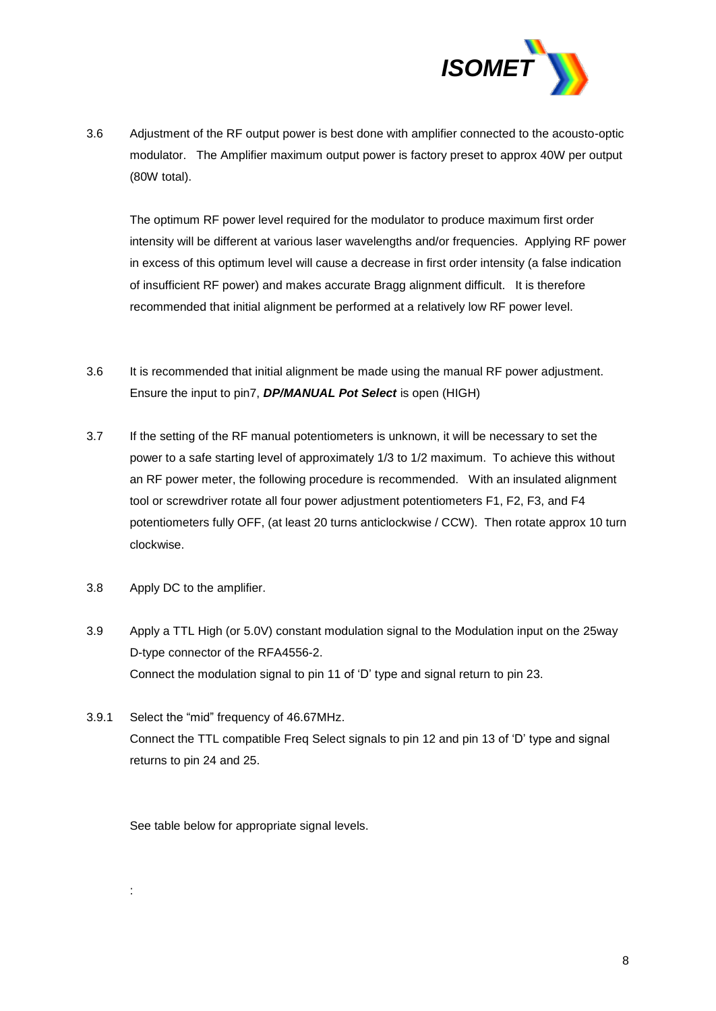

3.6 Adjustment of the RF output power is best done with amplifier connected to the acousto-optic modulator. The Amplifier maximum output power is factory preset to approx 40W per output (80W total).

The optimum RF power level required for the modulator to produce maximum first order intensity will be different at various laser wavelengths and/or frequencies. Applying RF power in excess of this optimum level will cause a decrease in first order intensity (a false indication of insufficient RF power) and makes accurate Bragg alignment difficult. It is therefore recommended that initial alignment be performed at a relatively low RF power level.

- 3.6 It is recommended that initial alignment be made using the manual RF power adjustment. Ensure the input to pin7, *DP/MANUAL Pot Select* is open (HIGH)
- 3.7 If the setting of the RF manual potentiometers is unknown, it will be necessary to set the power to a safe starting level of approximately 1/3 to 1/2 maximum. To achieve this without an RF power meter, the following procedure is recommended. With an insulated alignment tool or screwdriver rotate all four power adjustment potentiometers F1, F2, F3, and F4 potentiometers fully OFF, (at least 20 turns anticlockwise / CCW). Then rotate approx 10 turn clockwise.
- 3.8 Apply DC to the amplifier.

:

- 3.9 Apply a TTL High (or 5.0V) constant modulation signal to the Modulation input on the 25way D-type connector of the RFA4556-2. Connect the modulation signal to pin 11 of 'D' type and signal return to pin 23.
- 3.9.1 Select the "mid" frequency of 46.67MHz. Connect the TTL compatible Freq Select signals to pin 12 and pin 13 of 'D' type and signal returns to pin 24 and 25.

See table below for appropriate signal levels.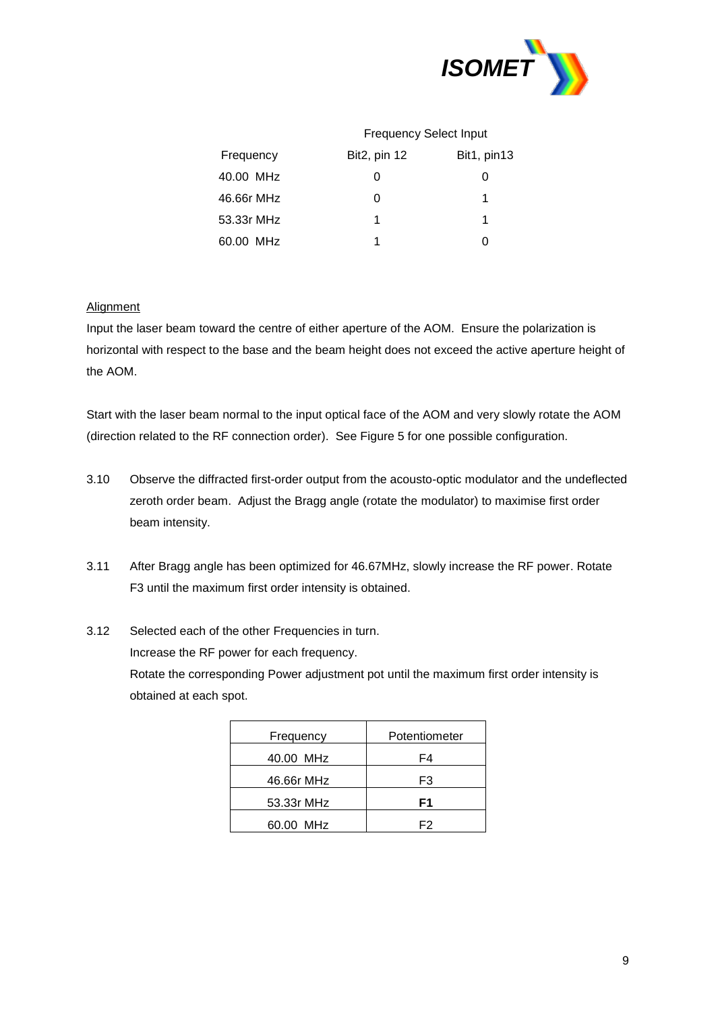

|            | <b>Frequency Select Input</b> |             |  |
|------------|-------------------------------|-------------|--|
| Frequency  | <b>Bit2</b> , pin 12          | Bit1, pin13 |  |
| 40.00 MHz  | 0                             |             |  |
| 46.66r MHz |                               | 1           |  |
| 53.33r MHz | 1                             | 1           |  |
| 60.00 MHz  |                               |             |  |

# **Alignment**

Input the laser beam toward the centre of either aperture of the AOM. Ensure the polarization is horizontal with respect to the base and the beam height does not exceed the active aperture height of the AOM.

Start with the laser beam normal to the input optical face of the AOM and very slowly rotate the AOM (direction related to the RF connection order). See Figure 5 for one possible configuration.

- 3.10 Observe the diffracted first-order output from the acousto-optic modulator and the undeflected zeroth order beam. Adjust the Bragg angle (rotate the modulator) to maximise first order beam intensity.
- 3.11 After Bragg angle has been optimized for 46.67MHz, slowly increase the RF power. Rotate F3 until the maximum first order intensity is obtained.
- 3.12 Selected each of the other Frequencies in turn. Increase the RF power for each frequency. Rotate the corresponding Power adjustment pot until the maximum first order intensity is obtained at each spot.

| Frequency  | Potentiometer |
|------------|---------------|
| 40.00 MHz  | F4            |
| 46.66r MHz | F3            |
| 53.33r MHz | F1            |
| 60.00 MHz  | F2            |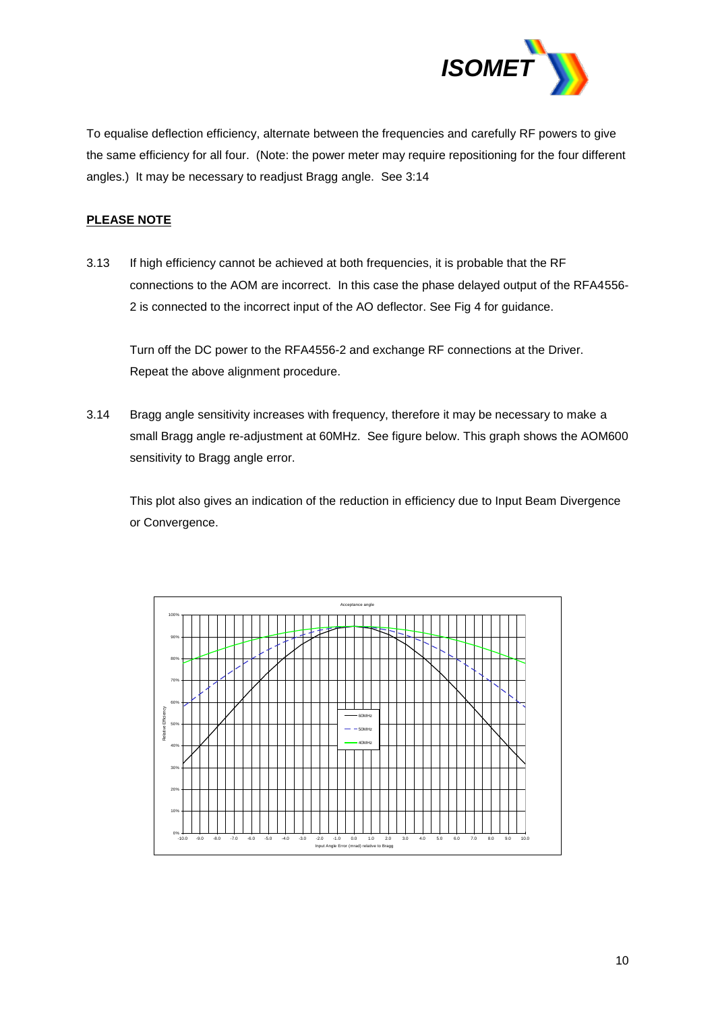

To equalise deflection efficiency, alternate between the frequencies and carefully RF powers to give the same efficiency for all four. (Note: the power meter may require repositioning for the four different angles.) It may be necessary to readjust Bragg angle. See 3:14

## **PLEASE NOTE**

3.13 If high efficiency cannot be achieved at both frequencies, it is probable that the RF connections to the AOM are incorrect. In this case the phase delayed output of the RFA4556- 2 is connected to the incorrect input of the AO deflector. See Fig 4 for guidance.

Turn off the DC power to the RFA4556-2 and exchange RF connections at the Driver. Repeat the above alignment procedure.

3.14 Bragg angle sensitivity increases with frequency, therefore it may be necessary to make a small Bragg angle re-adjustment at 60MHz. See figure below. This graph shows the AOM600 sensitivity to Bragg angle error.

This plot also gives an indication of the reduction in efficiency due to Input Beam Divergence or Convergence.

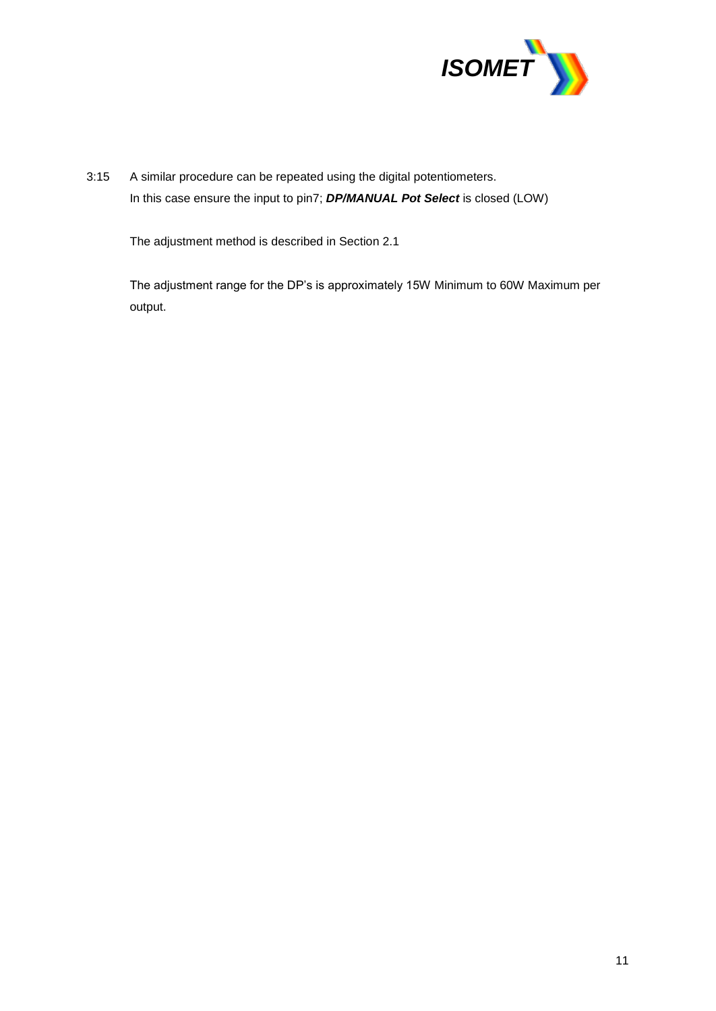

3:15 A similar procedure can be repeated using the digital potentiometers. In this case ensure the input to pin7; *DP/MANUAL Pot Select* is closed (LOW)

The adjustment method is described in Section 2.1

The adjustment range for the DP's is approximately 15W Minimum to 60W Maximum per output.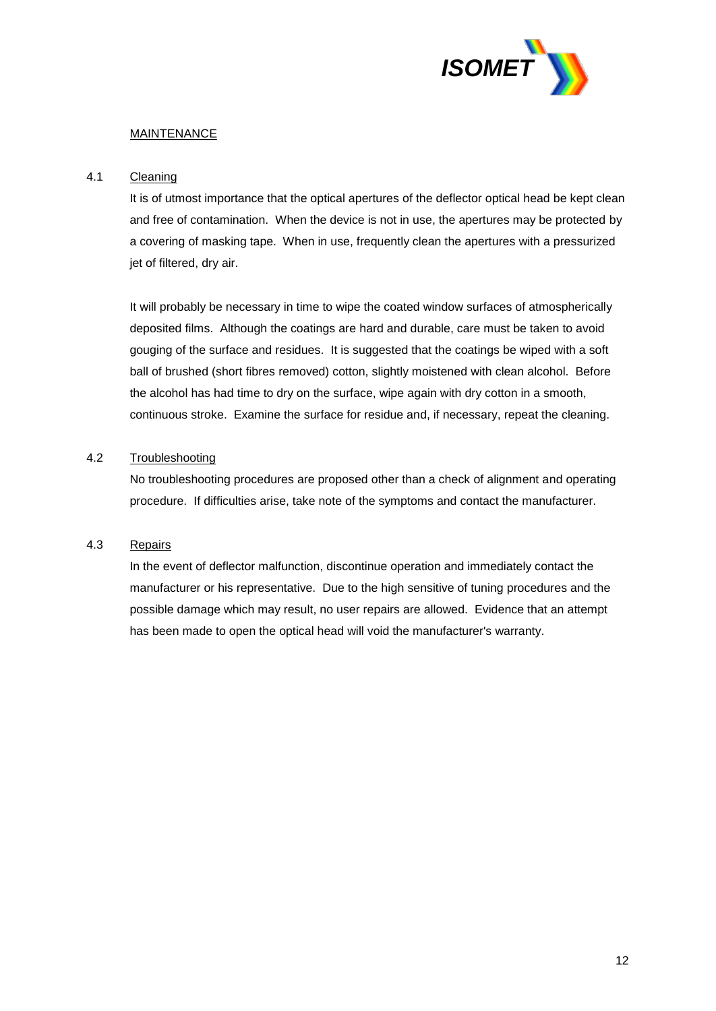

## MAINTENANCE

## 4.1 Cleaning

It is of utmost importance that the optical apertures of the deflector optical head be kept clean and free of contamination. When the device is not in use, the apertures may be protected by a covering of masking tape. When in use, frequently clean the apertures with a pressurized jet of filtered, dry air.

It will probably be necessary in time to wipe the coated window surfaces of atmospherically deposited films. Although the coatings are hard and durable, care must be taken to avoid gouging of the surface and residues. It is suggested that the coatings be wiped with a soft ball of brushed (short fibres removed) cotton, slightly moistened with clean alcohol. Before the alcohol has had time to dry on the surface, wipe again with dry cotton in a smooth, continuous stroke. Examine the surface for residue and, if necessary, repeat the cleaning.

# 4.2 Troubleshooting

No troubleshooting procedures are proposed other than a check of alignment and operating procedure. If difficulties arise, take note of the symptoms and contact the manufacturer.

# 4.3 Repairs

In the event of deflector malfunction, discontinue operation and immediately contact the manufacturer or his representative. Due to the high sensitive of tuning procedures and the possible damage which may result, no user repairs are allowed. Evidence that an attempt has been made to open the optical head will void the manufacturer's warranty.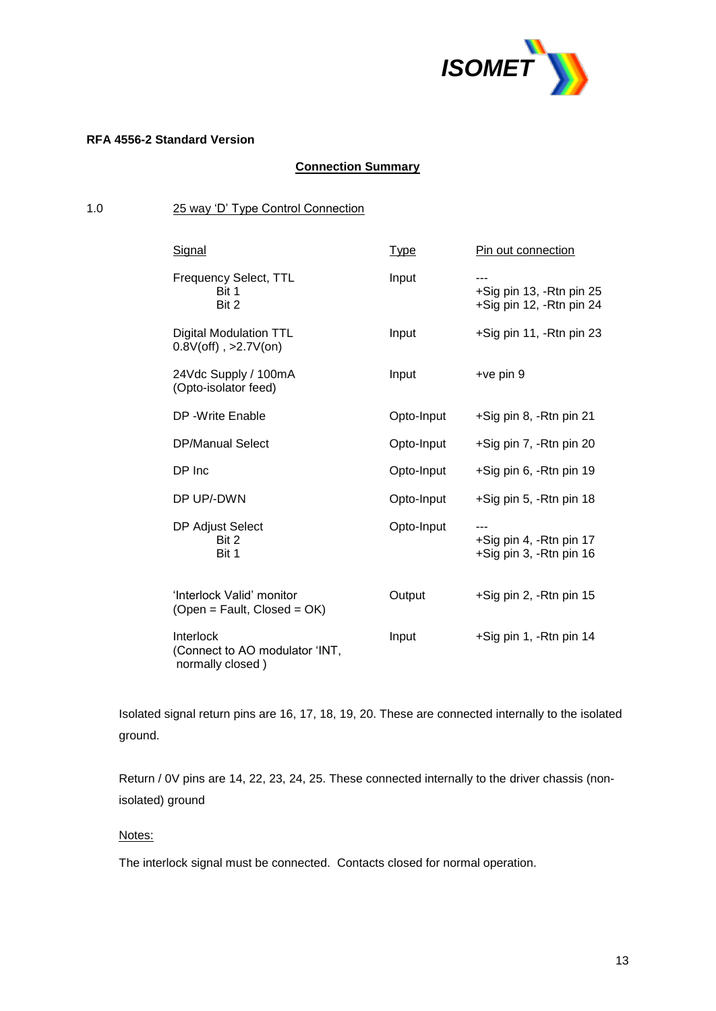

# **RFA 4556-2 Standard Version**

# **Connection Summary**

# 1.0 25 way 'D' Type Control Connection

| Signal                                                          | <b>Type</b> | Pin out connection                                          |
|-----------------------------------------------------------------|-------------|-------------------------------------------------------------|
| <b>Frequency Select, TTL</b><br>Bit 1<br>Bit 2                  | Input       | ---<br>+Sig pin 13, -Rtn pin 25<br>+Sig pin 12, -Rtn pin 24 |
| Digital Modulation TTL<br>$0.8V$ (off), >2.7V(on)               | Input       | +Sig pin 11, -Rtn pin 23                                    |
| 24Vdc Supply / 100mA<br>(Opto-isolator feed)                    | Input       | $+vepin 9$                                                  |
| DP - Write Enable                                               | Opto-Input  | +Sig pin 8, -Rtn pin 21                                     |
| <b>DP/Manual Select</b>                                         | Opto-Input  | +Sig pin 7, -Rtn pin 20                                     |
| DP Inc                                                          | Opto-Input  | +Sig pin 6, -Rtn pin 19                                     |
| DP UP/-DWN                                                      | Opto-Input  | +Sig pin 5, -Rtn pin 18                                     |
| DP Adjust Select<br>Bit 2<br>Bit 1                              | Opto-Input  | +Sig pin 4, -Rtn pin 17<br>+Sig pin 3, -Rtn pin 16          |
| 'Interlock Valid' monitor<br>$(Open = Fault, Closed = OK)$      | Output      | +Sig pin 2, -Rtn pin 15                                     |
| Interlock<br>(Connect to AO modulator 'INT,<br>normally closed) | Input       | +Sig pin 1, -Rtn pin 14                                     |

Isolated signal return pins are 16, 17, 18, 19, 20. These are connected internally to the isolated ground.

Return / 0V pins are 14, 22, 23, 24, 25. These connected internally to the driver chassis (nonisolated) ground

# Notes:

The interlock signal must be connected. Contacts closed for normal operation.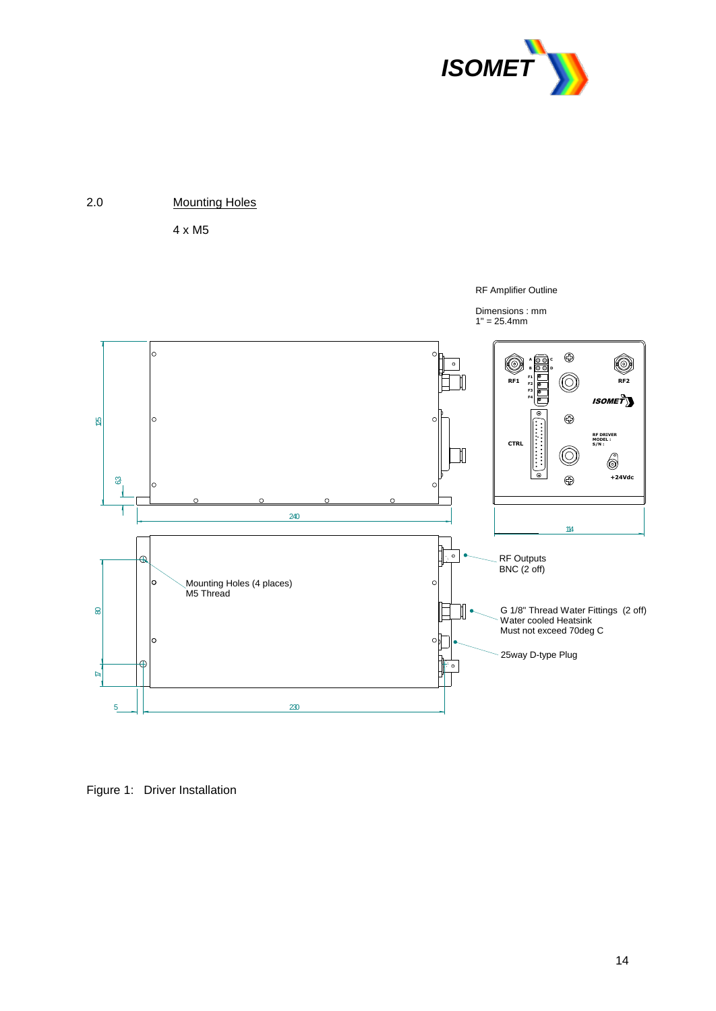

RF Amplifier Outline



4 x M5



Figure 1: Driver Installation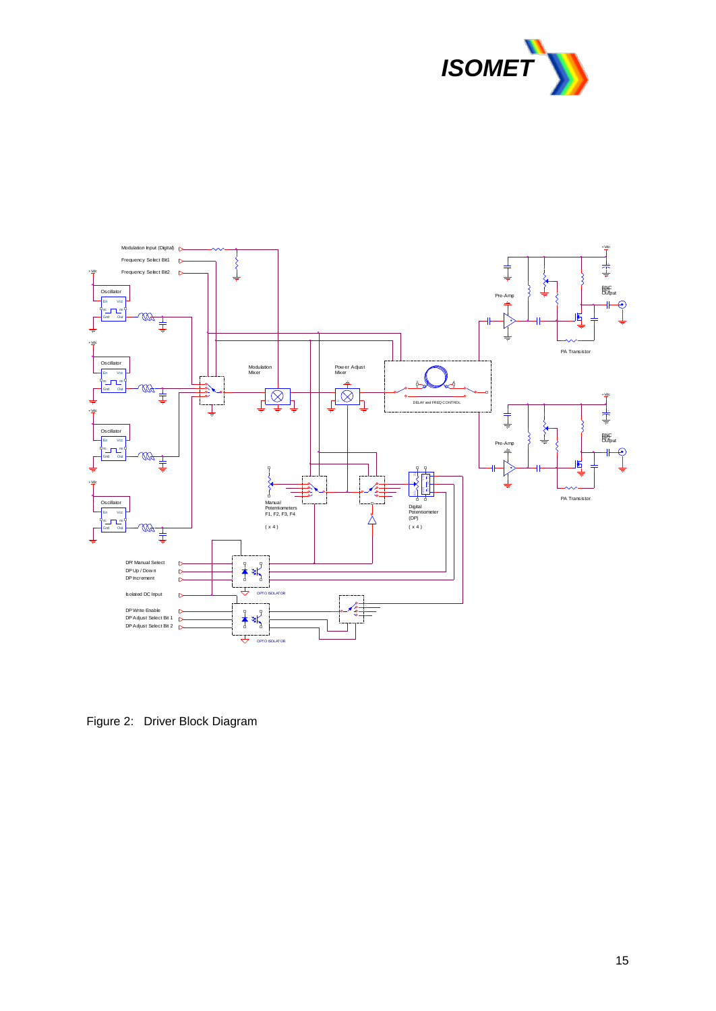



Figure 2: Driver Block Diagram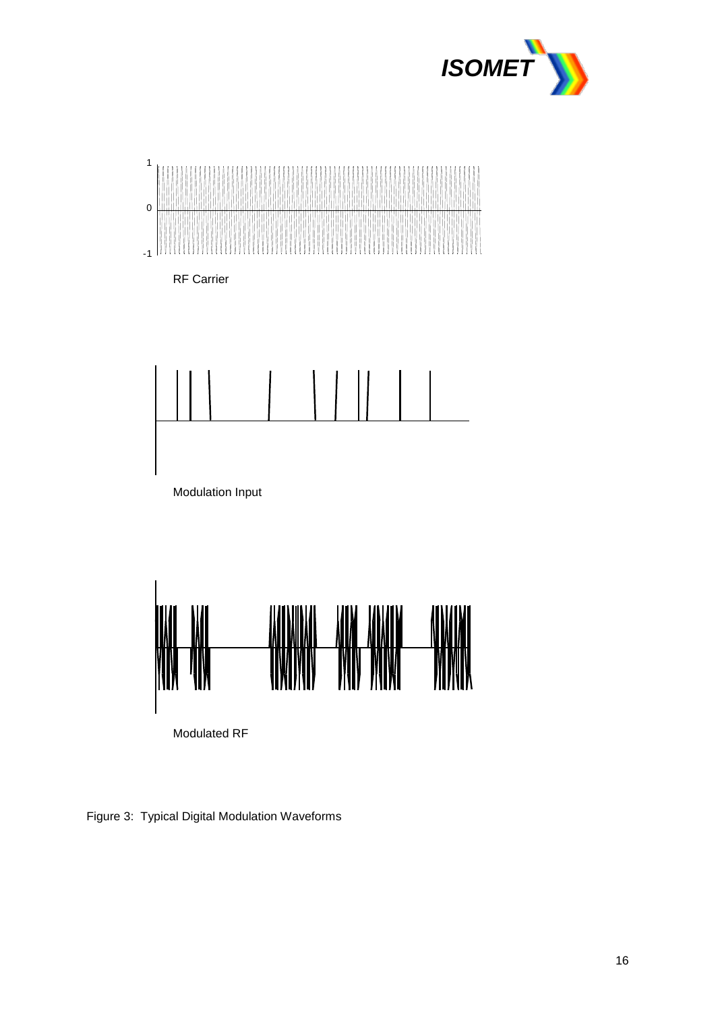



RF Carrier





Figure 3: Typical Digital Modulation Waveforms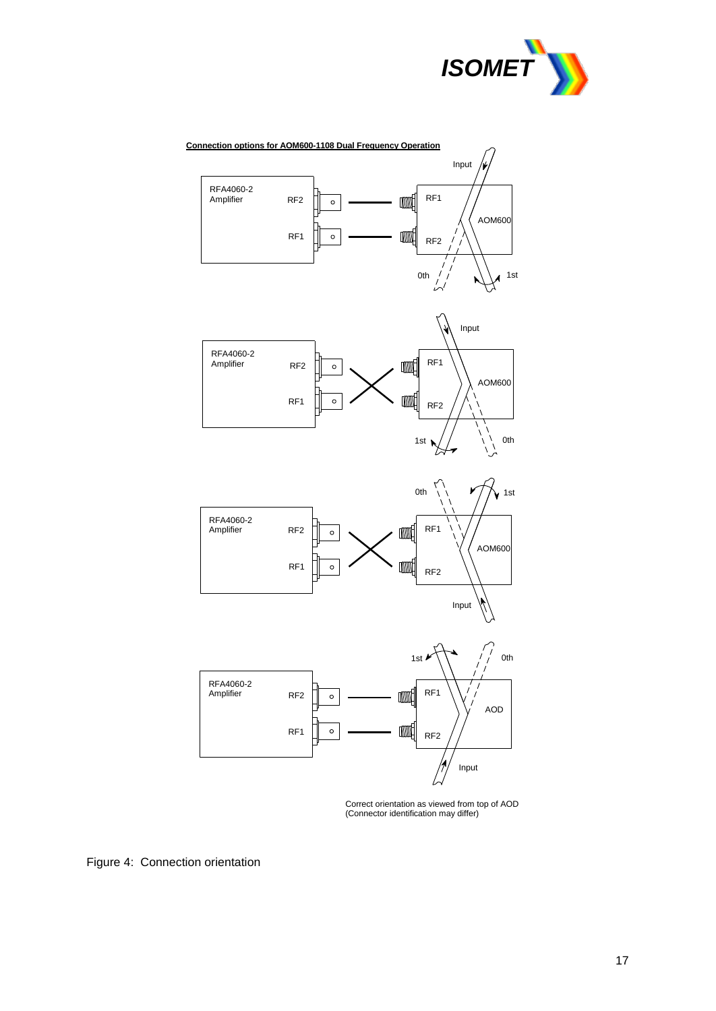



Correct orientation as viewed from top of AOD (Connector identification may differ)

Figure 4: Connection orientation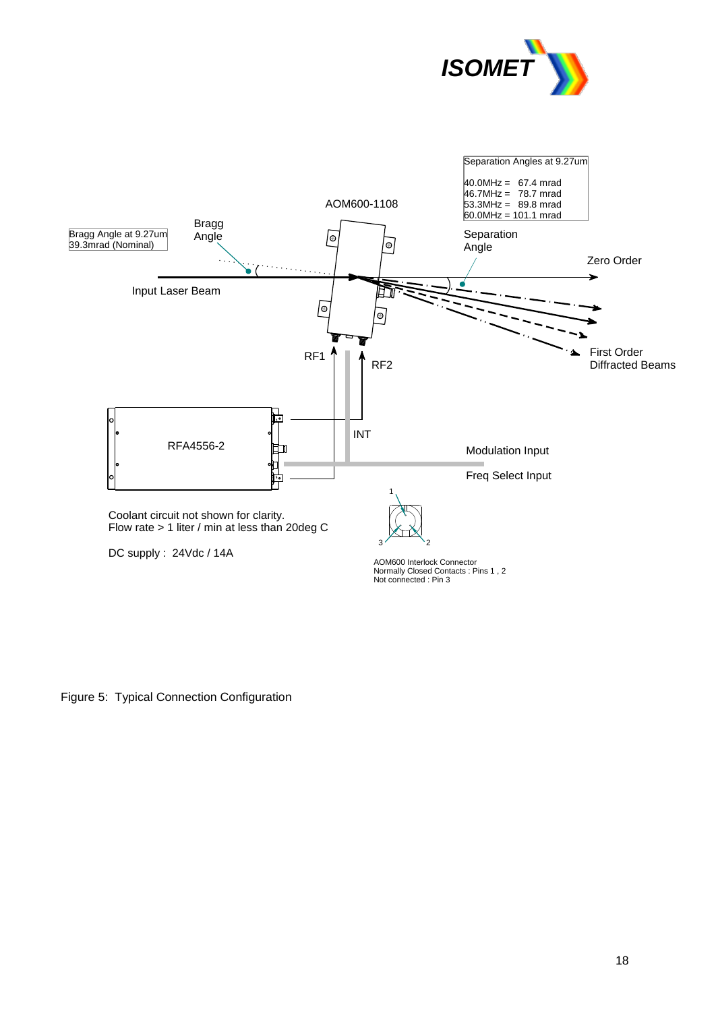



Figure 5: Typical Connection Configuration